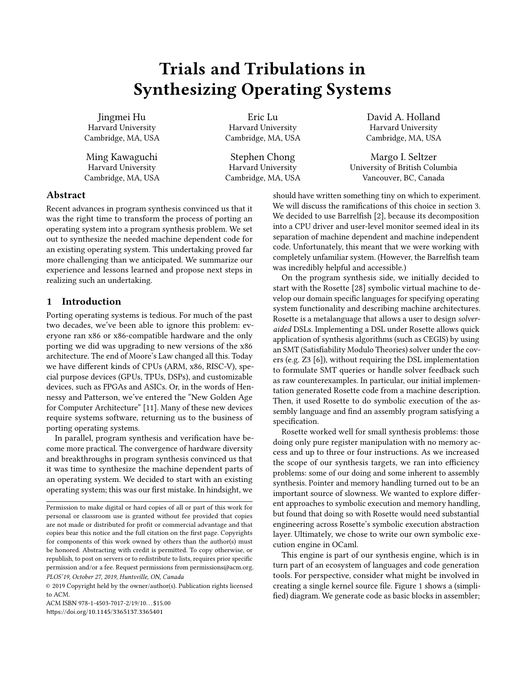# Trials and Tribulations in Synthesizing Operating Systems

Jingmei Hu Harvard University Cambridge, MA, USA

Ming Kawaguchi Harvard University Cambridge, MA, USA

Eric Lu Harvard University Cambridge, MA, USA

Stephen Chong Harvard University Cambridge, MA, USA David A. Holland Harvard University Cambridge, MA, USA

Margo I. Seltzer University of British Columbia Vancouver, BC, Canada

# Abstract

Recent advances in program synthesis convinced us that it was the right time to transform the process of porting an operating system into a program synthesis problem. We set out to synthesize the needed machine dependent code for an existing operating system. This undertaking proved far more challenging than we anticipated. We summarize our experience and lessons learned and propose next steps in realizing such an undertaking.

# <span id="page-0-0"></span>1 Introduction

Porting operating systems is tedious. For much of the past two decades, we've been able to ignore this problem: everyone ran x86 or x86-compatible hardware and the only porting we did was upgrading to new versions of the x86 architecture. The end of Moore's Law changed all this. Today we have different kinds of CPUs (ARM, x86, RISC-V), special purpose devices (GPUs, TPUs, DSPs), and customizable devices, such as FPGAs and ASICs. Or, in the words of Hennessy and Patterson, we've entered the "New Golden Age for Computer Architecture" [\[11\]](#page-6-0). Many of these new devices require systems software, returning us to the business of porting operating systems.

In parallel, program synthesis and verification have become more practical. The convergence of hardware diversity and breakthroughs in program synthesis convinced us that it was time to synthesize the machine dependent parts of an operating system. We decided to start with an existing operating system; this was our first mistake. In hindsight, we

should have written something tiny on which to experiment. We will discuss the ramifications of this choice in [section 3.](#page-2-0) We decided to use Barrelfish [\[2\]](#page-6-1), because its decomposition into a CPU driver and user-level monitor seemed ideal in its separation of machine dependent and machine independent code. Unfortunately, this meant that we were working with completely unfamiliar system. (However, the Barrelfish team was incredibly helpful and accessible.)

On the program synthesis side, we initially decided to start with the Rosette [\[28\]](#page-6-2) symbolic virtual machine to develop our domain specific languages for specifying operating system functionality and describing machine architectures. Rosette is a metalanguage that allows a user to design solveraided DSLs. Implementing a DSL under Rosette allows quick application of synthesis algorithms (such as CEGIS) by using an SMT (Satisfiability Modulo Theories) solver under the covers (e.g. Z3 [\[6\]](#page-6-3)), without requiring the DSL implementation to formulate SMT queries or handle solver feedback such as raw counterexamples. In particular, our initial implementation generated Rosette code from a machine description. Then, it used Rosette to do symbolic execution of the assembly language and find an assembly program satisfying a specification.

Rosette worked well for small synthesis problems: those doing only pure register manipulation with no memory access and up to three or four instructions. As we increased the scope of our synthesis targets, we ran into efficiency problems: some of our doing and some inherent to assembly synthesis. Pointer and memory handling turned out to be an important source of slowness. We wanted to explore different approaches to symbolic execution and memory handling, but found that doing so with Rosette would need substantial engineering across Rosette's symbolic execution abstraction layer. Ultimately, we chose to write our own symbolic execution engine in OCaml.

This engine is part of our synthesis engine, which is in turn part of an ecosystem of languages and code generation tools. For perspective, consider what might be involved in creating a single kernel source file. Figure [1](#page-1-0) shows a (simplified) diagram. We generate code as basic blocks in assembler;

Permission to make digital or hard copies of all or part of this work for personal or classroom use is granted without fee provided that copies are not made or distributed for profit or commercial advantage and that copies bear this notice and the full citation on the first page. Copyrights for components of this work owned by others than the author(s) must be honored. Abstracting with credit is permitted. To copy otherwise, or republish, to post on servers or to redistribute to lists, requires prior specific permission and/or a fee. Request permissions from permissions@acm.org. PLOS'19, October 27, 2019, Huntsville, ON, Canada

<sup>©</sup> 2019 Copyright held by the owner/author(s). Publication rights licensed to ACM.

ACM ISBN 978-1-4503-7017-2/19/10... \$15.00 [https://doi.org/](https://doi.org/10.1145/3365137.3365401)10.1145/3365137.3365401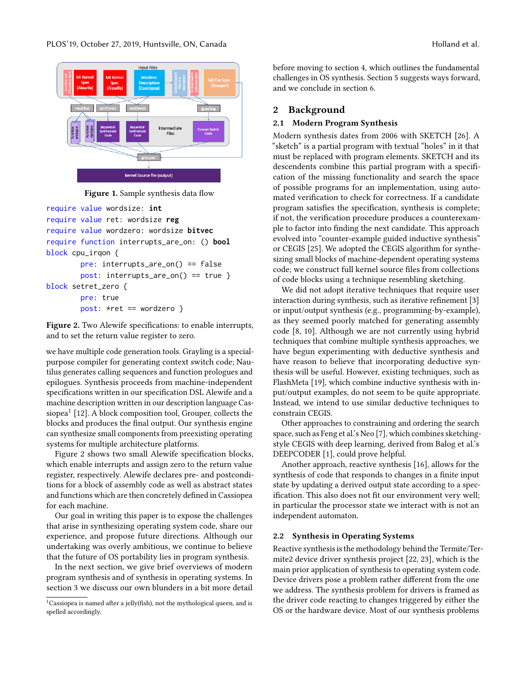<span id="page-1-0"></span>

Figure 1. Sample synthesis data flow

```
require value wordsize: int
require value ret: wordsize reg
require value wordzero: wordsize bitvec
require function interrupts_are_on: () bool
block cpu_irqon {
        pre: interrupts_are_on() == false
        post: interrupts_are_on() == true }
block setret_zero {
        pre: true
        post: *ret == wordzero }
```
Figure 2. Two Alewife specifications: to enable interrupts, and to set the return value register to zero.

we have multiple code generation tools. Grayling is a specialpurpose compiler for generating context switch code; Nautilus generates calling sequences and function prologues and epilogues. Synthesis proceeds from machine-independent specifications written in our specification DSL Alewife and a machine description written in our description language Cas-siopea<sup>[1](#page-1-1)</sup> [\[12\]](#page-6-4). A block composition tool, Grouper, collects the blocks and produces the final output. Our synthesis engine can synthesize small components from preexisting operating systems for multiple architecture platforms.

Figure [2](#page-1-2) shows two small Alewife specification blocks, which enable interrupts and assign zero to the return value register, respectively. Alewife declares pre- and postconditions for a block of assembly code as well as abstract states and functions which are then concretely defined in Cassiopea for each machine.

Our goal in writing this paper is to expose the challenges that arise in synthesizing operating system code, share our experience, and propose future directions. Although our undertaking was overly ambitious, we continue to believe that the future of OS portability lies in program synthesis.

In the next section, we give brief overviews of modern program synthesis and of synthesis in operating systems. In [section 3](#page-2-0) we discuss our own blunders in a bit more detail before moving to [section 4,](#page-2-1) which outlines the fundamental challenges in OS synthesis. Section [5](#page-4-0) suggests ways forward, and we conclude in [section 6.](#page-5-0)

# 2 Background

## 2.1 Modern Program Synthesis

Modern synthesis dates from 2006 with SKETCH [\[26\]](#page-6-5). A "sketch" is a partial program with textual "holes" in it that must be replaced with program elements. SKETCH and its descendents combine this partial program with a specification of the missing functionality and search the space of possible programs for an implementation, using automated verification to check for correctness. If a candidate program satisfies the specification, synthesis is complete; if not, the verification procedure produces a counterexample to factor into finding the next candidate. This approach evolved into "counter-example guided inductive synthesis" or CEGIS [\[25\]](#page-6-6). We adopted the CEGIS algorithm for synthesizing small blocks of machine-dependent operating systems code; we construct full kernel source files from collections of code blocks using a technique resembling sketching.

We did not adopt iterative techniques that require user interaction during synthesis, such as iterative refinement [\[3\]](#page-6-7) or input/output synthesis (e.g., programming-by-example), as they seemed poorly matched for generating assembly code [\[8,](#page-6-8) [10\]](#page-6-9). Although we are not currently using hybrid techniques that combine multiple synthesis approaches, we have begun experimenting with deductive synthesis and have reason to believe that incorporating deductive synthesis will be useful. However, existing techniques, such as FlashMeta [\[19\]](#page-6-10), which combine inductive synthesis with input/output examples, do not seem to be quite appropriate. Instead, we intend to use similar deductive techniques to constrain CEGIS.

Other approaches to constraining and ordering the search space, such as Feng et al.'s Neo [\[7\]](#page-6-11), which combines sketchingstyle CEGIS with deep learning, derived from Balog et al.'s DEEPCODER [\[1\]](#page-6-12), could prove helpful.

Another approach, reactive synthesis [\[16\]](#page-6-13), allows for the synthesis of code that responds to changes in a finite input state by updating a derived output state according to a specification. This also does not fit our environment very well; in particular the processor state we interact with is not an independent automaton.

### 2.2 Synthesis in Operating Systems

Reactive synthesis is the methodology behind the Termite/Termite2 device driver synthesis project [\[22,](#page-6-14) [23\]](#page-6-15), which is the main prior application of synthesis to operating system code. Device drivers pose a problem rather different from the one we address. The synthesis problem for drivers is framed as the driver code reacting to changes triggered by either the OS or the hardware device. Most of our synthesis problems

<span id="page-1-1"></span><sup>&</sup>lt;sup>1</sup>Cassiopea is named after a jelly(fish), not the mythological queen, and is spelled accordingly.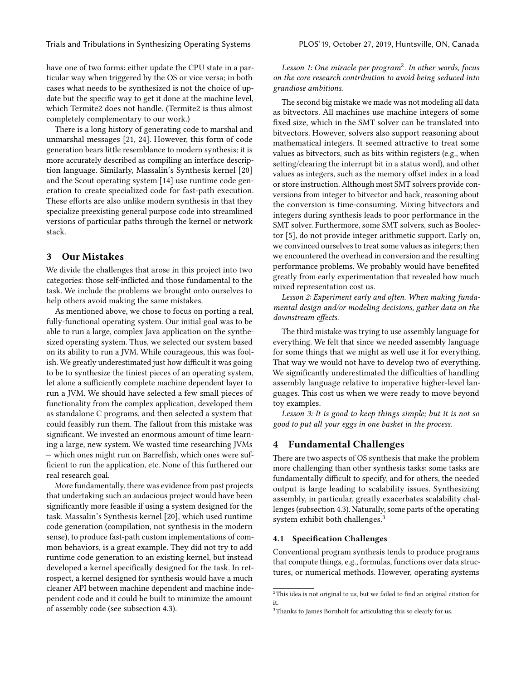Trials and Tribulations in Synthesizing Operating Systems PLOS'19, October 27, 2019, Huntsville, ON, Canada

have one of two forms: either update the CPU state in a particular way when triggered by the OS or vice versa; in both cases what needs to be synthesized is not the choice of update but the specific way to get it done at the machine level, which Termite2 does not handle. (Termite2 is thus almost completely complementary to our work.)

There is a long history of generating code to marshal and unmarshal messages [\[21,](#page-6-16) [24\]](#page-6-17). However, this form of code generation bears little resemblance to modern synthesis; it is more accurately described as compiling an interface description language. Similarly, Massalin's Synthesis kernel [\[20\]](#page-6-18) and the Scout operating system [\[14\]](#page-6-19) use runtime code generation to create specialized code for fast-path execution. These efforts are also unlike modern synthesis in that they specialize preexisting general purpose code into streamlined versions of particular paths through the kernel or network stack.

## <span id="page-2-0"></span>3 Our Mistakes

We divide the challenges that arose in this project into two categories: those self-inflicted and those fundamental to the task. We include the problems we brought onto ourselves to help others avoid making the same mistakes.

As mentioned above, we chose to focus on porting a real, fully-functional operating system. Our initial goal was to be able to run a large, complex Java application on the synthesized operating system. Thus, we selected our system based on its ability to run a JVM. While courageous, this was foolish. We greatly underestimated just how difficult it was going to be to synthesize the tiniest pieces of an operating system, let alone a sufficiently complete machine dependent layer to run a JVM. We should have selected a few small pieces of functionality from the complex application, developed them as standalone C programs, and then selected a system that could feasibly run them. The fallout from this mistake was significant. We invested an enormous amount of time learning a large, new system. We wasted time researching JVMs — which ones might run on Barrelfish, which ones were sufficient to run the application, etc. None of this furthered our real research goal.

More fundamentally, there was evidence from past projects that undertaking such an audacious project would have been significantly more feasible if using a system designed for the task. Massalin's Synthesis kernel [\[20\]](#page-6-18), which used runtime code generation (compilation, not synthesis in the modern sense), to produce fast-path custom implementations of common behaviors, is a great example. They did not try to add runtime code generation to an existing kernel, but instead developed a kernel specifically designed for the task. In retrospect, a kernel designed for synthesis would have a much cleaner API between machine dependent and machine independent code and it could be built to minimize the amount of assembly code (see [subsection 4.3\)](#page-4-1).

Lesson 1: One miracle per program $^2.$  $^2.$  $^2.$  In other words, focus on the core research contribution to avoid being seduced into grandiose ambitions.

The second big mistake we made was not modeling all data as bitvectors. All machines use machine integers of some fixed size, which in the SMT solver can be translated into bitvectors. However, solvers also support reasoning about mathematical integers. It seemed attractive to treat some values as bitvectors, such as bits within registers (e.g., when setting/clearing the interrupt bit in a status word), and other values as integers, such as the memory offset index in a load or store instruction. Although most SMT solvers provide conversions from integer to bitvector and back, reasoning about the conversion is time-consuming. Mixing bitvectors and integers during synthesis leads to poor performance in the SMT solver. Furthermore, some SMT solvers, such as Boolector [\[5\]](#page-6-20), do not provide integer arithmetic support. Early on, we convinced ourselves to treat some values as integers; then we encountered the overhead in conversion and the resulting performance problems. We probably would have benefited greatly from early experimentation that revealed how much mixed representation cost us.

Lesson 2: Experiment early and often. When making fundamental design and/or modeling decisions, gather data on the downstream effects.

The third mistake was trying to use assembly language for everything. We felt that since we needed assembly language for some things that we might as well use it for everything. That way we would not have to develop two of everything. We significantly underestimated the difficulties of handling assembly language relative to imperative higher-level languages. This cost us when we were ready to move beyond toy examples.

Lesson 3: It is good to keep things simple; but it is not so good to put all your eggs in one basket in the process.

# <span id="page-2-1"></span>4 Fundamental Challenges

There are two aspects of OS synthesis that make the problem more challenging than other synthesis tasks: some tasks are fundamentally difficult to specify, and for others, the needed output is large leading to scalability issues. Synthesizing assembly, in particular, greatly exacerbates scalability challenges [\(subsection 4.3\)](#page-4-1). Naturally, some parts of the operating system exhibit both challenges.[3](#page-2-3)

## 4.1 Specification Challenges

Conventional program synthesis tends to produce programs that compute things, e.g., formulas, functions over data structures, or numerical methods. However, operating systems

<span id="page-2-2"></span><sup>&</sup>lt;sup>2</sup>This idea is not original to us, but we failed to find an original citation for it.

<span id="page-2-3"></span> ${}^{3}{\rm Thanks}$  to James Bornholt for articulating this so clearly for us.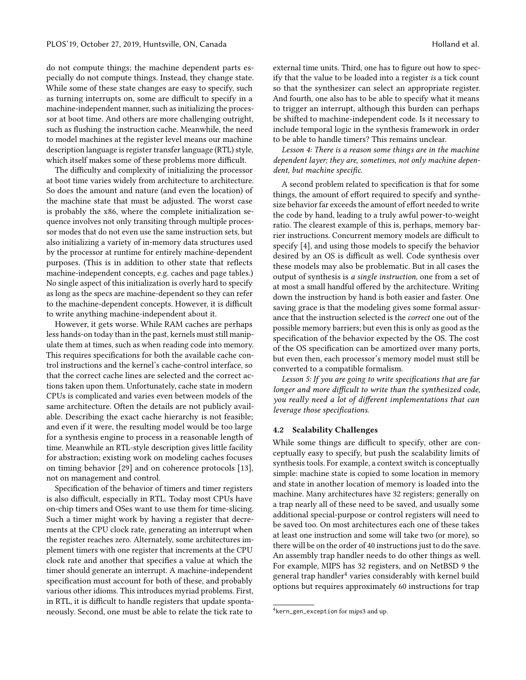do not compute things; the machine dependent parts especially do not compute things. Instead, they change state. While some of these state changes are easy to specify, such as turning interrupts on, some are difficult to specify in a machine-independent manner, such as initializing the processor at boot time. And others are more challenging outright, such as flushing the instruction cache. Meanwhile, the need to model machines at the register level means our machine description language is register transfer language (RTL) style, which itself makes some of these problems more difficult.

The difficulty and complexity of initializing the processor at boot time varies widely from architecture to architecture. So does the amount and nature (and even the location) of the machine state that must be adjusted. The worst case is probably the x86, where the complete initialization sequence involves not only transiting through multiple processor modes that do not even use the same instruction sets, but also initializing a variety of in-memory data structures used by the processor at runtime for entirely machine-dependent purposes. (This is in addition to other state that reflects machine-independent concepts, e.g. caches and page tables.) No single aspect of this initialization is overly hard to specify as long as the specs are machine-dependent so they can refer to the machine-dependent concepts. However, it is difficult to write anything machine-independent about it.

However, it gets worse. While RAM caches are perhaps less hands-on today than in the past, kernels must still manipulate them at times, such as when reading code into memory. This requires specifications for both the available cache control instructions and the kernel's cache-control interface, so that the correct cache lines are selected and the correct actions taken upon them. Unfortunately, cache state in modern CPUs is complicated and varies even between models of the same architecture. Often the details are not publicly available. Describing the exact cache hierarchy is not feasible; and even if it were, the resulting model would be too large for a synthesis engine to process in a reasonable length of time. Meanwhile an RTL-style description gives little facility for abstraction; existing work on modeling caches focuses on timing behavior [\[29\]](#page-6-21) and on coherence protocols [\[13\]](#page-6-22), not on management and control.

Specification of the behavior of timers and timer registers is also difficult, especially in RTL. Today most CPUs have on-chip timers and OSes want to use them for time-slicing. Such a timer might work by having a register that decrements at the CPU clock rate, generating an interrupt when the register reaches zero. Alternately, some architectures implement timers with one register that increments at the CPU clock rate and another that specifies a value at which the timer should generate an interrupt. A machine-independent specification must account for both of these, and probably various other idioms. This introduces myriad problems. First, in RTL, it is difficult to handle registers that update spontaneously. Second, one must be able to relate the tick rate to

external time units. Third, one has to figure out how to specify that the value to be loaded into a register is a tick count so that the synthesizer can select an appropriate register. And fourth, one also has to be able to specify what it means to trigger an interrupt, although this burden can perhaps be shifted to machine-independent code. Is it necessary to include temporal logic in the synthesis framework in order to be able to handle timers? This remains unclear.

Lesson 4: There is a reason some things are in the machine dependent layer; they are, sometimes, not only machine dependent, but machine specific.

A second problem related to specification is that for some things, the amount of effort required to specify and synthesize behavior far exceeds the amount of effort needed to write the code by hand, leading to a truly awful power-to-weight ratio. The clearest example of this is, perhaps, memory barrier instructions. Concurrent memory models are difficult to specify [\[4\]](#page-6-23), and using those models to specify the behavior desired by an OS is difficult as well. Code synthesis over these models may also be problematic. But in all cases the output of synthesis is a single instruction, one from a set of at most a small handful offered by the architecture. Writing down the instruction by hand is both easier and faster. One saving grace is that the modeling gives some formal assurance that the instruction selected is the correct one out of the possible memory barriers; but even this is only as good as the specification of the behavior expected by the OS. The cost of the OS specification can be amortized over many ports, but even then, each processor's memory model must still be converted to a compatible formalism.

Lesson 5: If you are going to write specifications that are far longer and more difficult to write than the synthesized code, you really need a lot of different implementations that can leverage those specifications.

#### 4.2 Scalability Challenges

While some things are difficult to specify, other are conceptually easy to specify, but push the scalability limits of synthesis tools. For example, a context switch is conceptually simple: machine state is copied to some location in memory and state in another location of memory is loaded into the machine. Many architectures have 32 registers; generally on a trap nearly all of these need to be saved, and usually some additional special-purpose or control registers will need to be saved too. On most architectures each one of these takes at least one instruction and some will take two (or more), so there will be on the order of 40 instructions just to do the save. An assembly trap handler needs to do other things as well. For example, MIPS has 32 registers, and on NetBSD 9 the general trap handler<sup>[4](#page-3-0)</sup> varies considerably with kernel build options but requires approximately 60 instructions for trap

<span id="page-3-0"></span><sup>4</sup>kern\_gen\_exception for mips3 and up.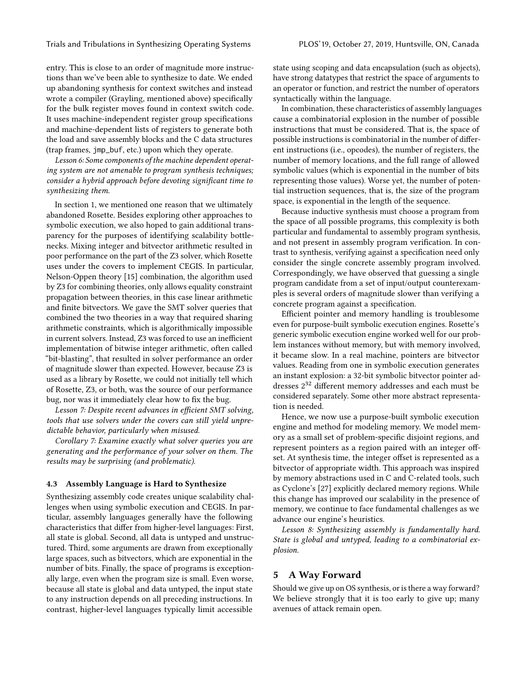Trials and Tribulations in Synthesizing Operating Systems PLOS'19, October 27, 2019, Huntsville, ON, Canada

entry. This is close to an order of magnitude more instructions than we've been able to synthesize to date. We ended up abandoning synthesis for context switches and instead wrote a compiler (Grayling, mentioned above) specifically for the bulk register moves found in context switch code. It uses machine-independent register group specifications and machine-dependent lists of registers to generate both the load and save assembly blocks and the C data structures (trap frames, jmp\_buf, etc.) upon which they operate.

Lesson 6: Some components of the machine dependent operating system are not amenable to program synthesis techniques; consider a hybrid approach before devoting significant time to synthesizing them.

In [section 1,](#page-0-0) we mentioned one reason that we ultimately abandoned Rosette. Besides exploring other approaches to symbolic execution, we also hoped to gain additional transparency for the purposes of identifying scalability bottlenecks. Mixing integer and bitvector arithmetic resulted in poor performance on the part of the Z3 solver, which Rosette uses under the covers to implement CEGIS. In particular, Nelson-Oppen theory [\[15\]](#page-6-24) combination, the algorithm used by Z3 for combining theories, only allows equality constraint propagation between theories, in this case linear arithmetic and finite bitvectors. We gave the SMT solver queries that combined the two theories in a way that required sharing arithmetic constraints, which is algorithmically impossible in current solvers. Instead, Z3 was forced to use an inefficient implementation of bitwise integer arithmetic, often called "bit-blasting", that resulted in solver performance an order of magnitude slower than expected. However, because Z3 is used as a library by Rosette, we could not initially tell which of Rosette, Z3, or both, was the source of our performance bug, nor was it immediately clear how to fix the bug.

Lesson 7: Despite recent advances in efficient SMT solving, tools that use solvers under the covers can still yield unpredictable behavior, particularly when misused.

Corollary 7: Examine exactly what solver queries you are generating and the performance of your solver on them. The results may be surprising (and problematic).

#### <span id="page-4-1"></span>4.3 Assembly Language is Hard to Synthesize

Synthesizing assembly code creates unique scalability challenges when using symbolic execution and CEGIS. In particular, assembly languages generally have the following characteristics that differ from higher-level languages: First, all state is global. Second, all data is untyped and unstructured. Third, some arguments are drawn from exceptionally large spaces, such as bitvectors, which are exponential in the number of bits. Finally, the space of programs is exceptionally large, even when the program size is small. Even worse, because all state is global and data untyped, the input state to any instruction depends on all preceding instructions. In contrast, higher-level languages typically limit accessible

state using scoping and data encapsulation (such as objects), have strong datatypes that restrict the space of arguments to an operator or function, and restrict the number of operators syntactically within the language.

In combination, these characteristics of assembly languages cause a combinatorial explosion in the number of possible instructions that must be considered. That is, the space of possible instructions is combinatorial in the number of different instructions (i.e., opcodes), the number of registers, the number of memory locations, and the full range of allowed symbolic values (which is exponential in the number of bits representing those values). Worse yet, the number of potential instruction sequences, that is, the size of the program space, is exponential in the length of the sequence.

Because inductive synthesis must choose a program from the space of all possible programs, this complexity is both particular and fundamental to assembly program synthesis, and not present in assembly program verification. In contrast to synthesis, verifying against a specification need only consider the single concrete assembly program involved. Correspondingly, we have observed that guessing a single program candidate from a set of input/output counterexamples is several orders of magnitude slower than verifying a concrete program against a specification.

Efficient pointer and memory handling is troublesome even for purpose-built symbolic execution engines. Rosette's generic symbolic execution engine worked well for our problem instances without memory, but with memory involved, it became slow. In a real machine, pointers are bitvector values. Reading from one in symbolic execution generates an instant explosion: a 32-bit symbolic bitvector pointer addresses 2 <sup>32</sup> different memory addresses and each must be considered separately. Some other more abstract representation is needed.

Hence, we now use a purpose-built symbolic execution engine and method for modeling memory. We model memory as a small set of problem-specific disjoint regions, and represent pointers as a region paired with an integer offset. At synthesis time, the integer offset is represented as a bitvector of appropriate width. This approach was inspired by memory abstractions used in C and C-related tools, such as Cyclone's [\[27\]](#page-6-25) explicitly declared memory regions. While this change has improved our scalability in the presence of memory, we continue to face fundamental challenges as we advance our engine's heuristics.

Lesson 8: Synthesizing assembly is fundamentally hard. State is global and untyped, leading to a combinatorial explosion.

## <span id="page-4-0"></span>5 A Way Forward

Should we give up on OS synthesis, or is there a way forward? We believe strongly that it is too early to give up; many avenues of attack remain open.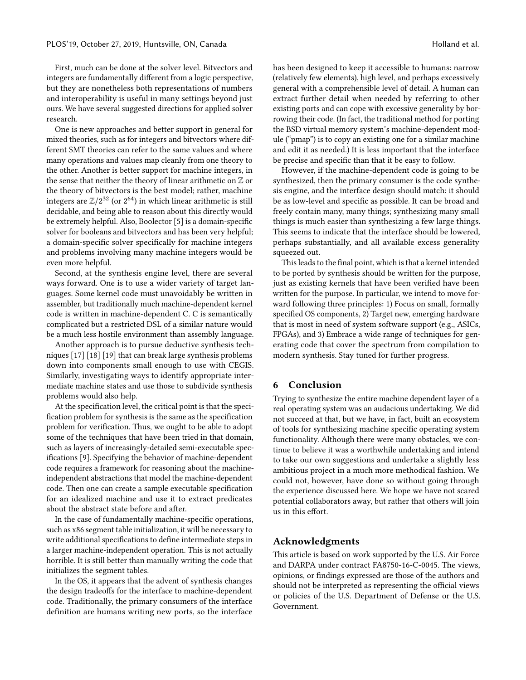First, much can be done at the solver level. Bitvectors and integers are fundamentally different from a logic perspective, but they are nonetheless both representations of numbers and interoperability is useful in many settings beyond just ours. We have several suggested directions for applied solver research.

One is new approaches and better support in general for mixed theories, such as for integers and bitvectors where different SMT theories can refer to the same values and where many operations and values map cleanly from one theory to the other. Another is better support for machine integers, in the sense that neither the theory of linear arithmetic on  $\mathbb Z$  or the theory of bitvectors is the best model; rather, machine integers are  $\mathbb{Z}/2^{32}$  (or  $2^{64}$ ) in which linear arithmetic is still decidable, and being able to reason about this directly would be extremely helpful. Also, Boolector [\[5\]](#page-6-20) is a domain-specific solver for booleans and bitvectors and has been very helpful; a domain-specific solver specifically for machine integers and problems involving many machine integers would be even more helpful.

Second, at the synthesis engine level, there are several ways forward. One is to use a wider variety of target languages. Some kernel code must unavoidably be written in assembler, but traditionally much machine-dependent kernel code is written in machine-dependent C. C is semantically complicated but a restricted DSL of a similar nature would be a much less hostile environment than assembly language.

Another approach is to pursue deductive synthesis techniques [\[17\]](#page-6-26) [\[18\]](#page-6-27) [\[19\]](#page-6-10) that can break large synthesis problems down into components small enough to use with CEGIS. Similarly, investigating ways to identify appropriate intermediate machine states and use those to subdivide synthesis problems would also help.

At the specification level, the critical point is that the specification problem for synthesis is the same as the specification problem for verification. Thus, we ought to be able to adopt some of the techniques that have been tried in that domain, such as layers of increasingly-detailed semi-executable specifications [\[9\]](#page-6-28). Specifying the behavior of machine-dependent code requires a framework for reasoning about the machineindependent abstractions that model the machine-dependent code. Then one can create a sample executable specification for an idealized machine and use it to extract predicates about the abstract state before and after.

In the case of fundamentally machine-specific operations, such as x86 segment table initialization, it will be necessary to write additional specifications to define intermediate steps in a larger machine-independent operation. This is not actually horrible. It is still better than manually writing the code that initializes the segment tables.

In the OS, it appears that the advent of synthesis changes the design tradeoffs for the interface to machine-dependent code. Traditionally, the primary consumers of the interface definition are humans writing new ports, so the interface has been designed to keep it accessible to humans: narrow (relatively few elements), high level, and perhaps excessively general with a comprehensible level of detail. A human can extract further detail when needed by referring to other existing ports and can cope with excessive generality by borrowing their code. (In fact, the traditional method for porting the BSD virtual memory system's machine-dependent module ("pmap") is to copy an existing one for a similar machine and edit it as needed.) It is less important that the interface be precise and specific than that it be easy to follow.

However, if the machine-dependent code is going to be synthesized, then the primary consumer is the code synthesis engine, and the interface design should match: it should be as low-level and specific as possible. It can be broad and freely contain many, many things; synthesizing many small things is much easier than synthesizing a few large things. This seems to indicate that the interface should be lowered, perhaps substantially, and all available excess generality squeezed out.

This leads to the final point, which is that a kernel intended to be ported by synthesis should be written for the purpose, just as existing kernels that have been verified have been written for the purpose. In particular, we intend to move forward following three principles: 1) Focus on small, formally specified OS components, 2) Target new, emerging hardware that is most in need of system software support (e.g., ASICs, FPGAs), and 3) Embrace a wide range of techniques for generating code that cover the spectrum from compilation to modern synthesis. Stay tuned for further progress.

### <span id="page-5-0"></span>6 Conclusion

Trying to synthesize the entire machine dependent layer of a real operating system was an audacious undertaking. We did not succeed at that, but we have, in fact, built an ecosystem of tools for synthesizing machine specific operating system functionality. Although there were many obstacles, we continue to believe it was a worthwhile undertaking and intend to take our own suggestions and undertake a slightly less ambitious project in a much more methodical fashion. We could not, however, have done so without going through the experience discussed here. We hope we have not scared potential collaborators away, but rather that others will join us in this effort.

### Acknowledgments

This article is based on work supported by the U.S. Air Force and DARPA under contract FA8750-16-C-0045. The views, opinions, or findings expressed are those of the authors and should not be interpreted as representing the official views or policies of the U.S. Department of Defense or the U.S. Government.